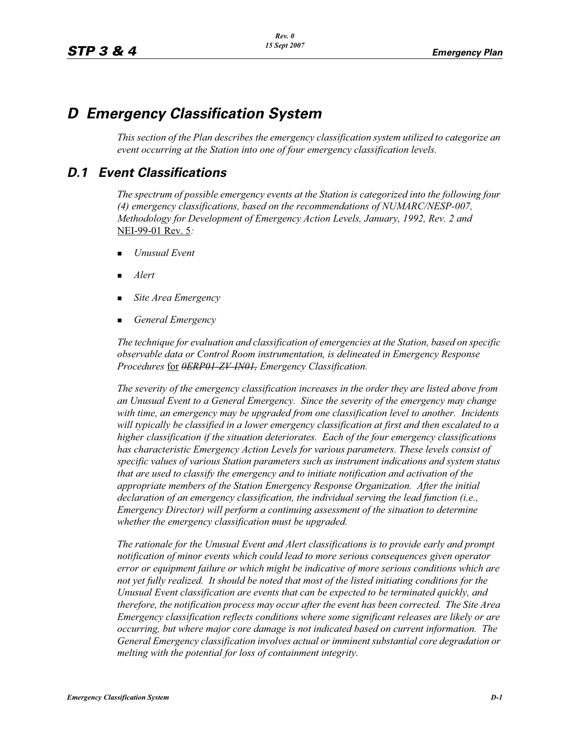# *D Emergency Classification System*

*This section of the Plan describes the emergency classification system utilized to categorize an event occurring at the Station into one of four emergency classification levels.*

## *D.1 Event Classifications*

*The spectrum of possible emergency events at the Station is categorized into the following four (4) emergency classifications, based on the recommendations of NUMARC/NESP-007, Methodology for Development of Emergency Action Levels, January, 1992, Rev. 2 and*  NEI-99-01 Rev. 5*:*

- -*Unusual Event*
- -*Alert*
- -*Site Area Emergency*
- -*General Emergency*

*The technique for evaluation and classification of emergencies at the Station, based on specific observable data or Control Room instrumentation, is delineated in Emergency Response Procedures* for *0ERP01-ZV-IN01, Emergency Classification.*

*The severity of the emergency classification increases in the order they are listed above from an Unusual Event to a General Emergency. Since the severity of the emergency may change with time, an emergency may be upgraded from one classification level to another. Incidents will typically be classified in a lower emergency classification at first and then escalated to a higher classification if the situation deteriorates. Each of the four emergency classifications has characteristic Emergency Action Levels for various parameters. These levels consist of specific values of various Station parameters such as instrument indications and system status that are used to classify the emergency and to initiate notification and activation of the appropriate members of the Station Emergency Response Organization. After the initial declaration of an emergency classification, the individual serving the lead function (i.e., Emergency Director) will perform a continuing assessment of the situation to determine whether the emergency classification must be upgraded.*

*The rationale for the Unusual Event and Alert classifications is to provide early and prompt notification of minor events which could lead to more serious consequences given operator error or equipment failure or which might be indicative of more serious conditions which are not yet fully realized. It should be noted that most of the listed initiating conditions for the Unusual Event classification are events that can be expected to be terminated quickly, and therefore, the notification process may occur after the event has been corrected. The Site Area Emergency classification reflects conditions where some significant releases are likely or are occurring, but where major core damage is not indicated based on current information. The General Emergency classification involves actual or imminent substantial core degradation or melting with the potential for loss of containment integrity.*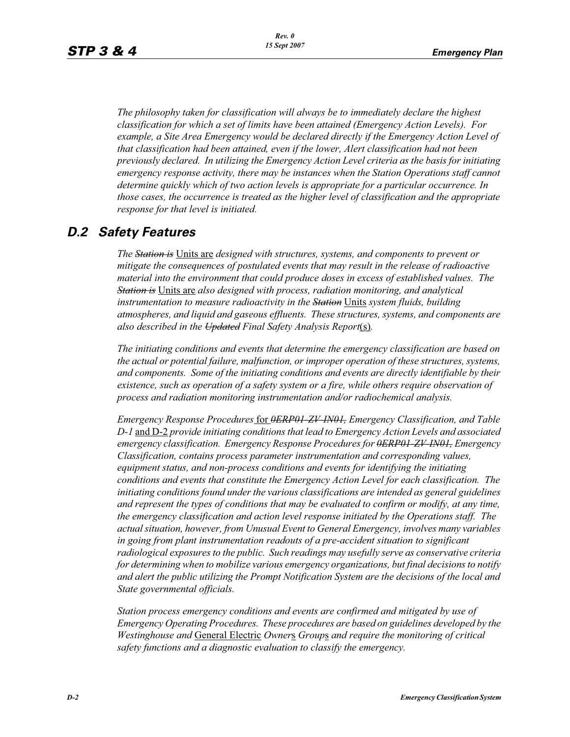*The philosophy taken for classification will always be to immediately declare the highest classification for which a set of limits have been attained (Emergency Action Levels). For example, a Site Area Emergency would be declared directly if the Emergency Action Level of that classification had been attained, even if the lower, Alert classification had not been previously declared. In utilizing the Emergency Action Level criteria as the basis for initiating emergency response activity, there may be instances when the Station Operations staff cannot determine quickly which of two action levels is appropriate for a particular occurrence. In those cases, the occurrence is treated as the higher level of classification and the appropriate response for that level is initiated.*

## *D.2 Safety Features*

*The Station is* Units are *designed with structures, systems, and components to prevent or mitigate the consequences of postulated events that may result in the release of radioactive material into the environment that could produce doses in excess of established values. The Station is* Units are *also designed with process, radiation monitoring, and analytical instrumentation to measure radioactivity in the Station* Units *system fluids, building atmospheres, and liquid and gaseous effluents. These structures, systems, and components are also described in the Updated Final Safety Analysis Report*(s)*.*

*The initiating conditions and events that determine the emergency classification are based on the actual or potential failure, malfunction, or improper operation of these structures, systems, and components. Some of the initiating conditions and events are directly identifiable by their existence, such as operation of a safety system or a fire, while others require observation of process and radiation monitoring instrumentation and/or radiochemical analysis.*

*Emergency Response Procedures* for *0ERP01-ZV-IN01, Emergency Classification, and Table D-1* and D-2 *provide initiating conditions that lead to Emergency Action Levels and associated emergency classification. Emergency Response Procedures for 0ERP01-ZV-IN01, Emergency Classification, contains process parameter instrumentation and corresponding values, equipment status, and non-process conditions and events for identifying the initiating conditions and events that constitute the Emergency Action Level for each classification. The initiating conditions found under the various classifications are intended as general guidelines and represent the types of conditions that may be evaluated to confirm or modify, at any time, the emergency classification and action level response initiated by the Operations staff. The actual situation, however, from Unusual Event to General Emergency, involves many variables in going from plant instrumentation readouts of a pre-accident situation to significant radiological exposures to the public. Such readings may usefully serve as conservative criteria for determining when to mobilize various emergency organizations, but final decisions to notify and alert the public utilizing the Prompt Notification System are the decisions of the local and State governmental officials.*

*Station process emergency conditions and events are confirmed and mitigated by use of Emergency Operating Procedures. These procedures are based on guidelines developed by the Westinghouse and* General Electric *Owner*s *Group*s *and require the monitoring of critical safety functions and a diagnostic evaluation to classify the emergency.*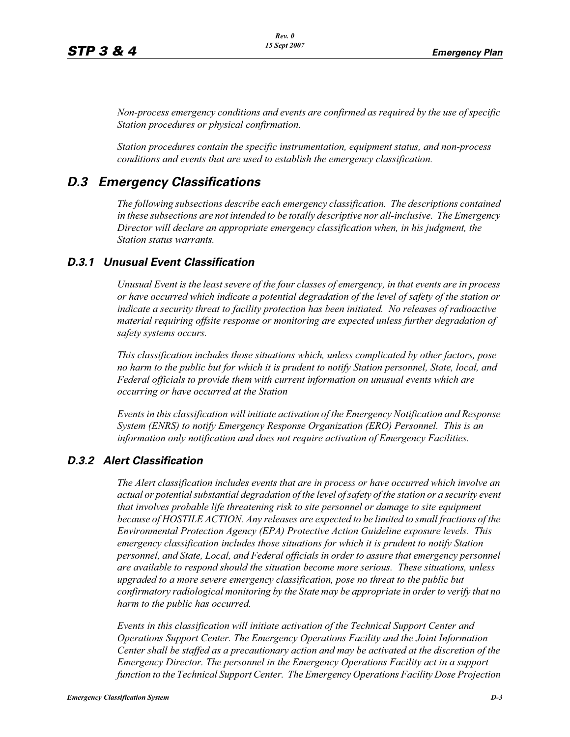*Non-process emergency conditions and events are confirmed as required by the use of specific Station procedures or physical confirmation.*

*Station procedures contain the specific instrumentation, equipment status, and non-process conditions and events that are used to establish the emergency classification.*

## *D.3 Emergency Classifications*

*The following subsections describe each emergency classification. The descriptions contained in these subsections are not intended to be totally descriptive nor all-inclusive. The Emergency Director will declare an appropriate emergency classification when, in his judgment, the Station status warrants.*

#### *D.3.1 Unusual Event Classification*

*Unusual Event is the least severe of the four classes of emergency, in that events are in process or have occurred which indicate a potential degradation of the level of safety of the station or indicate a security threat to facility protection has been initiated. No releases of radioactive material requiring offsite response or monitoring are expected unless further degradation of safety systems occurs.*

*This classification includes those situations which, unless complicated by other factors, pose no harm to the public but for which it is prudent to notify Station personnel, State, local, and Federal officials to provide them with current information on unusual events which are occurring or have occurred at the Station*

*Events in this classification will initiate activation of the Emergency Notification and Response System (ENRS) to notify Emergency Response Organization (ERO) Personnel. This is an information only notification and does not require activation of Emergency Facilities.* 

#### *D.3.2 Alert Classification*

*The Alert classification includes events that are in process or have occurred which involve an actual or potential substantial degradation of the level of safety of the station or a security event that involves probable life threatening risk to site personnel or damage to site equipment because of HOSTILE ACTION. Any releases are expected to be limited to small fractions of the Environmental Protection Agency (EPA) Protective Action Guideline exposure levels. This emergency classification includes those situations for which it is prudent to notify Station personnel, and State, Local, and Federal officials in order to assure that emergency personnel are available to respond should the situation become more serious. These situations, unless upgraded to a more severe emergency classification, pose no threat to the public but confirmatory radiological monitoring by the State may be appropriate in order to verify that no harm to the public has occurred.*

*Events in this classification will initiate activation of the Technical Support Center and Operations Support Center. The Emergency Operations Facility and the Joint Information Center shall be staffed as a precautionary action and may be activated at the discretion of the Emergency Director. The personnel in the Emergency Operations Facility act in a support function to the Technical Support Center. The Emergency Operations Facility Dose Projection*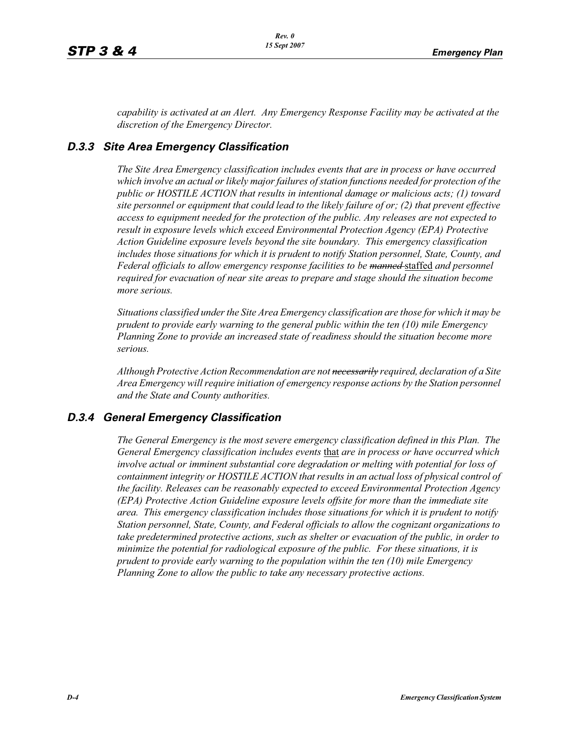*capability is activated at an Alert. Any Emergency Response Facility may be activated at the discretion of the Emergency Director.*

#### *D.3.3 Site Area Emergency Classification*

*The Site Area Emergency classification includes events that are in process or have occurred which involve an actual or likely major failures of station functions needed for protection of the public or HOSTILE ACTION that results in intentional damage or malicious acts; (1) toward site personnel or equipment that could lead to the likely failure of or; (2) that prevent effective access to equipment needed for the protection of the public. Any releases are not expected to result in exposure levels which exceed Environmental Protection Agency (EPA) Protective Action Guideline exposure levels beyond the site boundary. This emergency classification includes those situations for which it is prudent to notify Station personnel, State, County, and Federal officials to allow emergency response facilities to be manned* staffed *and personnel required for evacuation of near site areas to prepare and stage should the situation become more serious.* 

*Situations classified under the Site Area Emergency classification are those for which it may be prudent to provide early warning to the general public within the ten (10) mile Emergency Planning Zone to provide an increased state of readiness should the situation become more serious.*

*Although Protective Action Recommendation are not necessarily required, declaration of a Site Area Emergency will require initiation of emergency response actions by the Station personnel and the State and County authorities.*

#### *D.3.4 General Emergency Classification*

*The General Emergency is the most severe emergency classification defined in this Plan. The General Emergency classification includes events* that *are in process or have occurred which involve actual or imminent substantial core degradation or melting with potential for loss of containment integrity or HOSTILE ACTION that results in an actual loss of physical control of the facility. Releases can be reasonably expected to exceed Environmental Protection Agency (EPA) Protective Action Guideline exposure levels offsite for more than the immediate site area. This emergency classification includes those situations for which it is prudent to notify Station personnel, State, County, and Federal officials to allow the cognizant organizations to take predetermined protective actions, such as shelter or evacuation of the public, in order to minimize the potential for radiological exposure of the public. For these situations, it is prudent to provide early warning to the population within the ten (10) mile Emergency Planning Zone to allow the public to take any necessary protective actions.*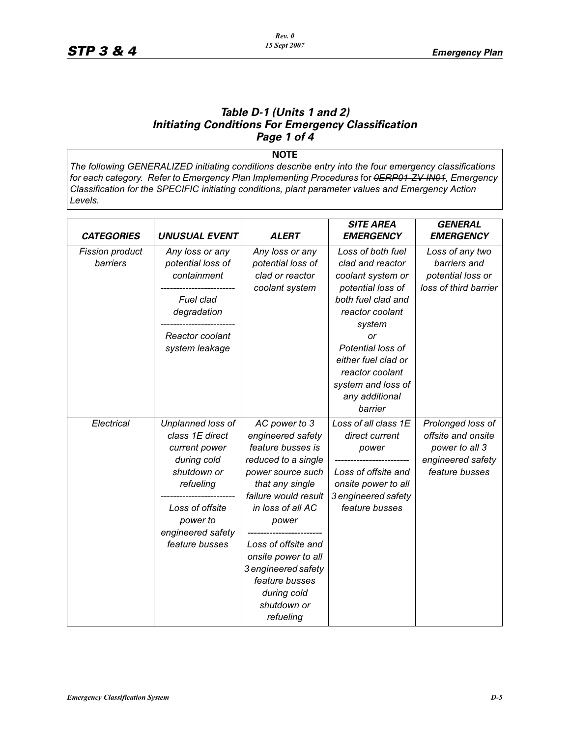#### *Table D-1 (Units 1 and 2) Initiating Conditions For Emergency Classification Page 1 of 4*

**NOTE**

*The following GENERALIZED initiating conditions describe entry into the four emergency classifications for each category. Refer to Emergency Plan Implementing Procedures* for *0ERP01-ZV-IN01, Emergency Classification for the SPECIFIC initiating conditions, plant parameter values and Emergency Action Levels.*

|                             |                                                                                                                                                                        |                                                                                                                                                                                                                                                                                                                | <b>SITE AREA</b>                                                                                                                                                                                                                                           | <b>GENERAL</b>                                                                                   |
|-----------------------------|------------------------------------------------------------------------------------------------------------------------------------------------------------------------|----------------------------------------------------------------------------------------------------------------------------------------------------------------------------------------------------------------------------------------------------------------------------------------------------------------|------------------------------------------------------------------------------------------------------------------------------------------------------------------------------------------------------------------------------------------------------------|--------------------------------------------------------------------------------------------------|
| <b>CATEGORIES</b>           | <b>UNUSUAL EVENT</b>                                                                                                                                                   | <b>ALERT</b>                                                                                                                                                                                                                                                                                                   | <b>EMERGENCY</b>                                                                                                                                                                                                                                           | <b>EMERGENCY</b>                                                                                 |
| Fission product<br>barriers | Any loss or any<br>potential loss of<br>containment<br>Fuel clad<br>degradation<br>Reactor coolant<br>system leakage                                                   | Any loss or any<br>potential loss of<br>clad or reactor<br>coolant system                                                                                                                                                                                                                                      | Loss of both fuel<br>clad and reactor<br>coolant system or<br>potential loss of<br>both fuel clad and<br>reactor coolant<br>system<br>or<br>Potential loss of<br>either fuel clad or<br>reactor coolant<br>system and loss of<br>any additional<br>barrier | Loss of any two<br>barriers and<br>potential loss or<br>loss of third barrier                    |
| Electrical                  | Unplanned loss of<br>class 1E direct<br>current power<br>during cold<br>shutdown or<br>refueling<br>Loss of offsite<br>power to<br>engineered safety<br>feature busses | AC power to 3<br>engineered safety<br>feature busses is<br>reduced to a single<br>power source such<br>that any single<br>failure would result<br>in loss of all AC<br>power<br>Loss of offsite and<br>onsite power to all<br>3 engineered safety<br>feature busses<br>during cold<br>shutdown or<br>refueling | Loss of all class 1E<br>direct current<br>power<br>Loss of offsite and<br>onsite power to all<br>3 engineered safety<br>feature busses                                                                                                                     | Prolonged loss of<br>offsite and onsite<br>power to all 3<br>engineered safety<br>feature busses |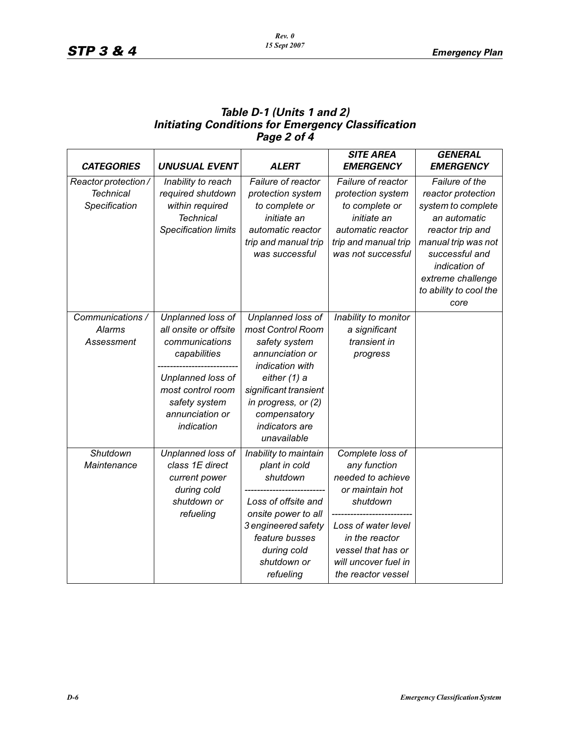#### *Table D-1 (Units 1 and 2) Initiating Conditions for Emergency Classification Page 2 of 4*

|                      |                             |                       | <b>SITE AREA</b>     | <b>GENERAL</b>         |
|----------------------|-----------------------------|-----------------------|----------------------|------------------------|
| <b>CATEGORIES</b>    | <b>UNUSUAL EVENT</b>        | <b>ALERT</b>          | <b>EMERGENCY</b>     | <b>EMERGENCY</b>       |
| Reactor protection / | Inability to reach          | Failure of reactor    | Failure of reactor   | Failure of the         |
| <b>Technical</b>     | required shutdown           | protection system     | protection system    | reactor protection     |
| Specification        | within required             | to complete or        | to complete or       | system to complete     |
|                      | <b>Technical</b>            | initiate an           | initiate an          | an automatic           |
|                      | <b>Specification limits</b> | automatic reactor     | automatic reactor    | reactor trip and       |
|                      |                             | trip and manual trip  | trip and manual trip | manual trip was not    |
|                      |                             | was successful        | was not successful   | successful and         |
|                      |                             |                       |                      | indication of          |
|                      |                             |                       |                      | extreme challenge      |
|                      |                             |                       |                      | to ability to cool the |
|                      |                             |                       |                      | core                   |
| Communications /     | Unplanned loss of           | Unplanned loss of     | Inability to monitor |                        |
| <b>Alarms</b>        | all onsite or offsite       | most Control Room     | a significant        |                        |
| Assessment           | communications              | safety system         | transient in         |                        |
|                      | capabilities                | annunciation or       | progress             |                        |
|                      |                             | indication with       |                      |                        |
|                      | Unplanned loss of           | either (1) a          |                      |                        |
|                      | most control room           | significant transient |                      |                        |
|                      | safety system               | in progress, or (2)   |                      |                        |
|                      | annunciation or             | compensatory          |                      |                        |
|                      | indication                  | indicators are        |                      |                        |
|                      |                             | unavailable           |                      |                        |
| Shutdown             | Unplanned loss of           | Inability to maintain | Complete loss of     |                        |
| Maintenance          | class 1E direct             | plant in cold         | any function         |                        |
|                      | current power               | shutdown              | needed to achieve    |                        |
|                      | during cold                 |                       | or maintain hot      |                        |
|                      | shutdown or                 | Loss of offsite and   | shutdown             |                        |
|                      | refueling                   | onsite power to all   |                      |                        |
|                      |                             | 3 engineered safety   | Loss of water level  |                        |
|                      |                             | feature busses        | in the reactor       |                        |
|                      |                             | during cold           | vessel that has or   |                        |
|                      |                             | shutdown or           | will uncover fuel in |                        |
|                      |                             | refueling             | the reactor vessel   |                        |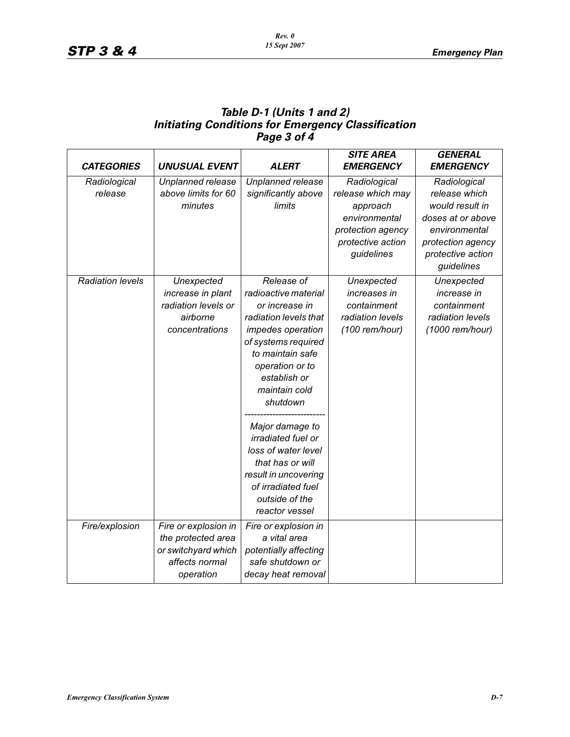#### *Table D-1 (Units 1 and 2) Initiating Conditions for Emergency Classification Page 3 of 4*

| <b>CATEGORIES</b>       | <b>UNUSUAL EVENT</b> | <b>ALERT</b>          | <b>SITE AREA</b><br><b>EMERGENCY</b> | <b>GENERAL</b><br><b>EMERGENCY</b> |
|-------------------------|----------------------|-----------------------|--------------------------------------|------------------------------------|
| Radiological            | Unplanned release    | Unplanned release     | Radiological                         | Radiological                       |
| release                 | above limits for 60  | significantly above   | release which may                    | release which                      |
|                         | minutes              | limits                | approach                             | would result in                    |
|                         |                      |                       | environmental                        | doses at or above                  |
|                         |                      |                       | protection agency                    | environmental                      |
|                         |                      |                       | protective action                    | protection agency                  |
|                         |                      |                       | guidelines                           | protective action                  |
|                         |                      |                       |                                      | guidelines                         |
| <b>Radiation levels</b> | Unexpected           | Release of            | Unexpected                           | Unexpected                         |
|                         | increase in plant    | radioactive material  | increases in                         | increase in                        |
|                         | radiation levels or  | or increase in        | containment                          | containment                        |
|                         | airborne             | radiation levels that | radiation levels                     | radiation levels                   |
|                         | concentrations       | impedes operation     | (100 rem/hour)                       | (1000 rem/hour)                    |
|                         |                      | of systems required   |                                      |                                    |
|                         |                      | to maintain safe      |                                      |                                    |
|                         |                      | operation or to       |                                      |                                    |
|                         |                      | establish or          |                                      |                                    |
|                         |                      | maintain cold         |                                      |                                    |
|                         |                      | shutdown              |                                      |                                    |
|                         |                      |                       |                                      |                                    |
|                         |                      | Major damage to       |                                      |                                    |
|                         |                      | irradiated fuel or    |                                      |                                    |
|                         |                      | loss of water level   |                                      |                                    |
|                         |                      | that has or will      |                                      |                                    |
|                         |                      | result in uncovering  |                                      |                                    |
|                         |                      | of irradiated fuel    |                                      |                                    |
|                         |                      | outside of the        |                                      |                                    |
|                         |                      | reactor vessel        |                                      |                                    |
| Fire/explosion          | Fire or explosion in | Fire or explosion in  |                                      |                                    |
|                         | the protected area   | a vital area          |                                      |                                    |
|                         | or switchyard which  | potentially affecting |                                      |                                    |
|                         | affects normal       | safe shutdown or      |                                      |                                    |
|                         | operation            | decay heat removal    |                                      |                                    |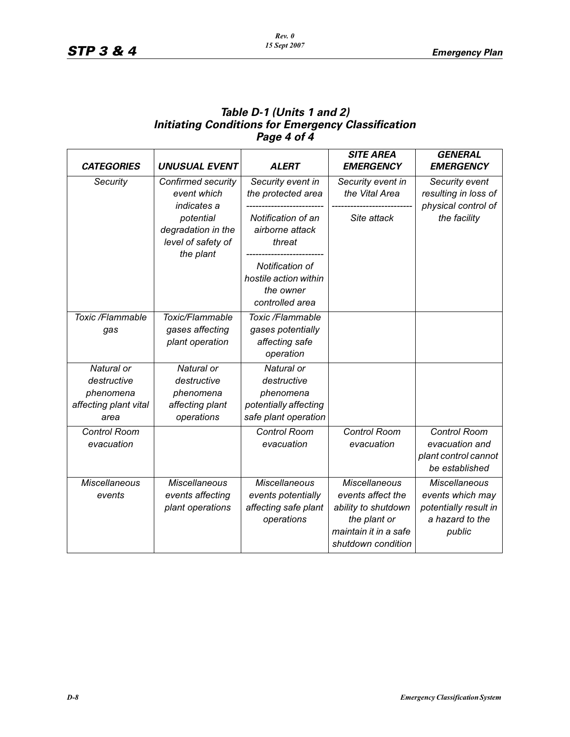#### *Table D-1 (Units 1 and 2) Initiating Conditions for Emergency Classification Page 4 of 4*

| <b>CATEGORIES</b>     | <b>UNUSUAL EVENT</b>            | <b>ALERT</b>          | <b>SITE AREA</b><br><b>EMERGENCY</b> | <b>GENERAL</b><br><b>EMERGENCY</b>          |
|-----------------------|---------------------------------|-----------------------|--------------------------------------|---------------------------------------------|
| Security              | Confirmed security              | Security event in     | Security event in                    | Security event                              |
|                       | event which<br>indicates a      | the protected area    | the Vital Area                       | resulting in loss of<br>physical control of |
|                       | potential                       | Notification of an    | Site attack                          | the facility                                |
|                       | degradation in the              | airborne attack       |                                      |                                             |
|                       | level of safety of<br>the plant | threat                |                                      |                                             |
|                       |                                 | Notification of       |                                      |                                             |
|                       |                                 | hostile action within |                                      |                                             |
|                       |                                 | the owner             |                                      |                                             |
|                       |                                 | controlled area       |                                      |                                             |
| Toxic /Flammable      | Toxic/Flammable                 | Toxic /Flammable      |                                      |                                             |
| gas                   | gases affecting                 | gases potentially     |                                      |                                             |
|                       | plant operation                 | affecting safe        |                                      |                                             |
|                       |                                 | operation             |                                      |                                             |
| Natural or            | Natural or                      | Natural or            |                                      |                                             |
| destructive           | destructive                     | destructive           |                                      |                                             |
| phenomena             | phenomena                       | phenomena             |                                      |                                             |
| affecting plant vital | affecting plant                 | potentially affecting |                                      |                                             |
| area                  | operations                      | safe plant operation  |                                      |                                             |
| Control Room          |                                 | Control Room          | Control Room                         | Control Room                                |
| evacuation            |                                 | evacuation            | evacuation                           | evacuation and                              |
|                       |                                 |                       |                                      | plant control cannot                        |
|                       |                                 |                       |                                      | be established                              |
| <b>Miscellaneous</b>  | <b>Miscellaneous</b>            | <b>Miscellaneous</b>  | <b>Miscellaneous</b>                 | <b>Miscellaneous</b>                        |
| events                | events affecting                | events potentially    | events affect the                    | events which may                            |
|                       | plant operations                | affecting safe plant  | ability to shutdown                  | potentially result in                       |
|                       |                                 | operations            | the plant or                         | a hazard to the                             |
|                       |                                 |                       | maintain it in a safe                | public                                      |
|                       |                                 |                       | shutdown condition                   |                                             |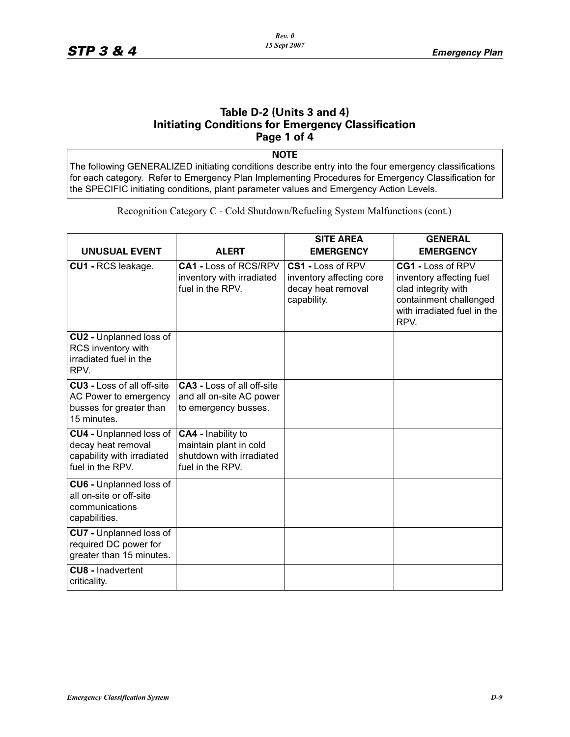#### **Table D-2 (Units 3 and 4) Initiating Conditions for Emergency Classification Page 1 of 4**

**NOTE**

The following GENERALIZED initiating conditions describe entry into the four emergency classifications for each category. Refer to Emergency Plan Implementing Procedures for Emergency Classification for the SPECIFIC initiating conditions, plant parameter values and Emergency Action Levels.

Recognition Category C - Cold Shutdown/Refueling System Malfunctions (cont.)

| <b>UNUSUAL EVENT</b>                                                                                 | <b>ALERT</b>                                                                                 | <b>SITE AREA</b><br><b>EMERGENCY</b>                                               | <b>GENERAL</b><br><b>EMERGENCY</b>                                                                                                    |
|------------------------------------------------------------------------------------------------------|----------------------------------------------------------------------------------------------|------------------------------------------------------------------------------------|---------------------------------------------------------------------------------------------------------------------------------------|
| CU1 - RCS leakage.                                                                                   | <b>CA1 - Loss of RCS/RPV</b><br>inventory with irradiated<br>fuel in the RPV.                | CS1 - Loss of RPV<br>inventory affecting core<br>decay heat removal<br>capability. | CG1 - Loss of RPV<br>inventory affecting fuel<br>clad integrity with<br>containment challenged<br>with irradiated fuel in the<br>RPV. |
| <b>CU2 - Unplanned loss of</b><br>RCS inventory with<br>irradiated fuel in the<br>RPV.               |                                                                                              |                                                                                    |                                                                                                                                       |
| <b>CU3 - Loss of all off-site</b><br>AC Power to emergency<br>busses for greater than<br>15 minutes. | <b>CA3 - Loss of all off-site</b><br>and all on-site AC power<br>to emergency busses.        |                                                                                    |                                                                                                                                       |
| CU4 - Unplanned loss of<br>decay heat removal<br>capability with irradiated<br>fuel in the RPV.      | CA4 - Inability to<br>maintain plant in cold<br>shutdown with irradiated<br>fuel in the RPV. |                                                                                    |                                                                                                                                       |
| CU6 - Unplanned loss of<br>all on-site or off-site<br>communications<br>capabilities.                |                                                                                              |                                                                                    |                                                                                                                                       |
| CU7 - Unplanned loss of<br>required DC power for<br>greater than 15 minutes.                         |                                                                                              |                                                                                    |                                                                                                                                       |
| <b>CU8 - Inadvertent</b><br>criticality.                                                             |                                                                                              |                                                                                    |                                                                                                                                       |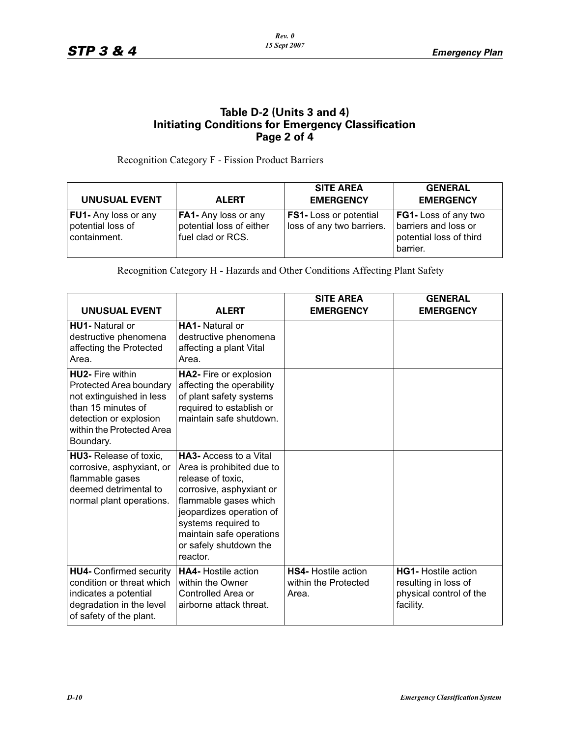#### **Table D-2 (Units 3 and 4) Initiating Conditions for Emergency Classification Page 2 of 4**

Recognition Category F - Fission Product Barriers

| <b>UNUSUAL EVENT</b>                                      | <b>ALERT</b>                                                                 | <b>SITE AREA</b><br><b>EMERGENCY</b>                      | <b>GENERAL</b><br><b>EMERGENCY</b>                                                  |
|-----------------------------------------------------------|------------------------------------------------------------------------------|-----------------------------------------------------------|-------------------------------------------------------------------------------------|
| FU1- Any loss or any<br>potential loss of<br>containment. | <b>FA1-</b> Any loss or any<br>potential loss of either<br>fuel clad or RCS. | <b>FS1-Loss or potential</b><br>loss of any two barriers. | FG1- Loss of any two<br>barriers and loss or<br>potential loss of third<br>barrier. |

Recognition Category H - Hazards and Other Conditions Affecting Plant Safety

| <b>UNUSUAL EVENT</b>                                                                                                                                                     | <b>ALERT</b>                                                                                                                                                                                                                                             | <b>SITE AREA</b><br><b>EMERGENCY</b>                        | <b>GENERAL</b><br><b>EMERGENCY</b>                                                         |
|--------------------------------------------------------------------------------------------------------------------------------------------------------------------------|----------------------------------------------------------------------------------------------------------------------------------------------------------------------------------------------------------------------------------------------------------|-------------------------------------------------------------|--------------------------------------------------------------------------------------------|
| <b>HU1-</b> Natural or<br>destructive phenomena<br>affecting the Protected<br>Area.                                                                                      | <b>HA1-</b> Natural or<br>destructive phenomena<br>affecting a plant Vital<br>Area.                                                                                                                                                                      |                                                             |                                                                                            |
| <b>HU2- Fire within</b><br>Protected Area boundary<br>not extinguished in less<br>than 15 minutes of<br>detection or explosion<br>within the Protected Area<br>Boundary. | HA2- Fire or explosion<br>affecting the operability<br>of plant safety systems<br>required to establish or<br>maintain safe shutdown.                                                                                                                    |                                                             |                                                                                            |
| <b>HU3-</b> Release of toxic.<br>corrosive, asphyxiant, or<br>flammable gases<br>deemed detrimental to<br>normal plant operations.                                       | <b>HA3-Access to a Vital</b><br>Area is prohibited due to<br>release of toxic,<br>corrosive, asphyxiant or<br>flammable gases which<br>jeopardizes operation of<br>systems required to<br>maintain safe operations<br>or safely shutdown the<br>reactor. |                                                             |                                                                                            |
| <b>HU4-</b> Confirmed security<br>condition or threat which<br>indicates a potential<br>degradation in the level<br>of safety of the plant.                              | <b>HA4-</b> Hostile action<br>within the Owner<br>Controlled Area or<br>airborne attack threat.                                                                                                                                                          | <b>HS4-</b> Hostile action<br>within the Protected<br>Area. | <b>HG1-</b> Hostile action<br>resulting in loss of<br>physical control of the<br>facility. |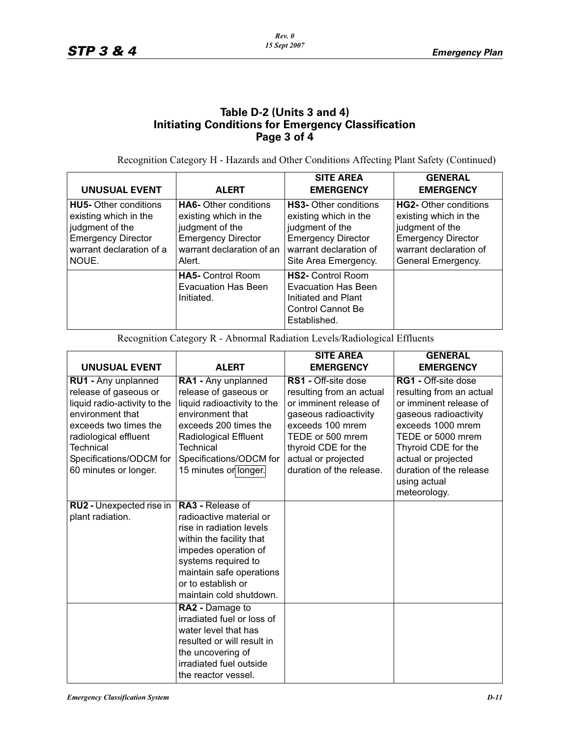#### **Table D-2 (Units 3 and 4) Initiating Conditions for Emergency Classification Page 3 of 4**

Recognition Category H - Hazards and Other Conditions Affecting Plant Safety (Continued)

| <b>UNUSUAL EVENT</b>                                                                                                                       | <b>ALERT</b>                                                                                                                                 | <b>SITE AREA</b><br><b>EMERGENCY</b>                                                                                                                    | <b>GENERAL</b><br><b>EMERGENCY</b>                                                                                                                    |
|--------------------------------------------------------------------------------------------------------------------------------------------|----------------------------------------------------------------------------------------------------------------------------------------------|---------------------------------------------------------------------------------------------------------------------------------------------------------|-------------------------------------------------------------------------------------------------------------------------------------------------------|
| <b>HU5-</b> Other conditions<br>existing which in the<br>judgment of the<br><b>Emergency Director</b><br>warrant declaration of a<br>NOUE. | <b>HA6-</b> Other conditions<br>existing which in the<br>judgment of the<br><b>Emergency Director</b><br>warrant declaration of an<br>Alert. | <b>HS3-</b> Other conditions<br>existing which in the<br>judgment of the<br><b>Emergency Director</b><br>warrant declaration of<br>Site Area Emergency. | <b>HG2-</b> Other conditions<br>existing which in the<br>judgment of the<br><b>Emergency Director</b><br>warrant declaration of<br>General Emergency. |
|                                                                                                                                            | <b>HA5-</b> Control Room<br><b>Evacuation Has Been</b><br>Initiated.                                                                         | <b>HS2-</b> Control Room<br>Evacuation Has Been<br>Initiated and Plant<br>Control Cannot Be<br>Established.                                             |                                                                                                                                                       |

Recognition Category R - Abnormal Radiation Levels/Radiological Effluents

| <b>UNUSUAL EVENT</b>                                                                                                                                                                                                | <b>ALERT</b>                                                                                                                                                                                                                           | <b>SITE AREA</b><br><b>EMERGENCY</b>                                                                                                                                                                                 | <b>GENERAL</b><br><b>EMERGENCY</b>                                                                                                                                                                                                                           |
|---------------------------------------------------------------------------------------------------------------------------------------------------------------------------------------------------------------------|----------------------------------------------------------------------------------------------------------------------------------------------------------------------------------------------------------------------------------------|----------------------------------------------------------------------------------------------------------------------------------------------------------------------------------------------------------------------|--------------------------------------------------------------------------------------------------------------------------------------------------------------------------------------------------------------------------------------------------------------|
| RU1 - Any unplanned<br>release of gaseous or<br>liquid radio-activity to the<br>environment that<br>exceeds two times the<br>radiological effluent<br>Technical<br>Specifications/ODCM for<br>60 minutes or longer. | RA1 - Any unplanned<br>release of gaseous or<br>liquid radioactivity to the<br>environment that<br>exceeds 200 times the<br>Radiological Effluent<br>Technical<br>Specifications/ODCM for<br>15 minutes or longer.                     | RS1 - Off-site dose<br>resulting from an actual<br>or imminent release of<br>gaseous radioactivity<br>exceeds 100 mrem<br>TEDE or 500 mrem<br>thyroid CDE for the<br>actual or projected<br>duration of the release. | <b>RG1 - Off-site dose</b><br>resulting from an actual<br>or imminent release of<br>gaseous radioactivity<br>exceeds 1000 mrem<br>TEDE or 5000 mrem<br>Thyroid CDE for the<br>actual or projected<br>duration of the release<br>using actual<br>meteorology. |
| RU2 - Unexpected rise in<br>plant radiation.                                                                                                                                                                        | <b>RA3 - Release of</b><br>radioactive material or<br>rise in radiation levels<br>within the facility that<br>impedes operation of<br>systems required to<br>maintain safe operations<br>or to establish or<br>maintain cold shutdown. |                                                                                                                                                                                                                      |                                                                                                                                                                                                                                                              |
|                                                                                                                                                                                                                     | RA2 - Damage to<br>irradiated fuel or loss of<br>water level that has<br>resulted or will result in<br>the uncovering of<br>irradiated fuel outside<br>the reactor vessel.                                                             |                                                                                                                                                                                                                      |                                                                                                                                                                                                                                                              |